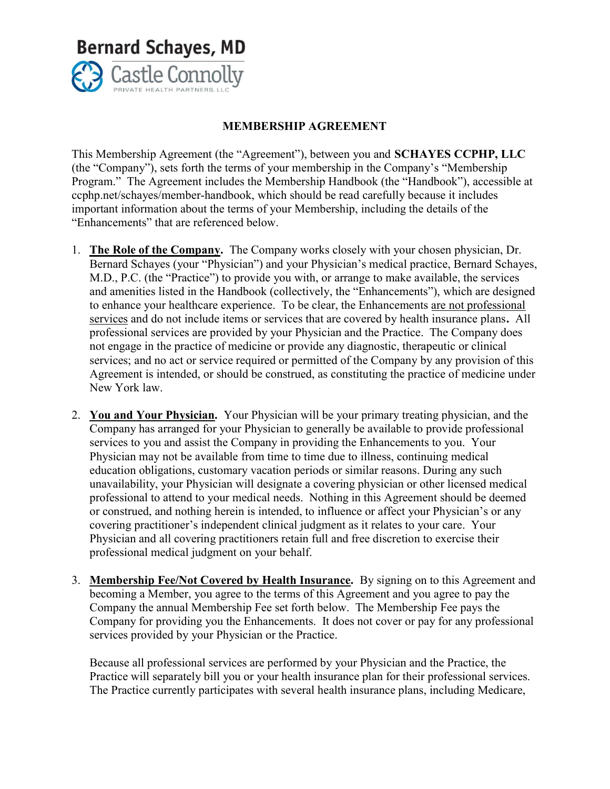

## MEMBERSHIP AGREEMENT

 This Membership Agreement (the "Agreement"), between you and SCHAYES CCPHP, LLC (the "Company"), sets forth the terms of your membership in the Company's "Membership Program." The Agreement includes the Membership Handbook (the "Handbook"), accessible at ccphp.net/schayes/member-handbook, which should be read carefully because it includes important information about the terms of your Membership, including the details of the "Enhancements" that are referenced below.

- 1. The Role of the Company. The Company works closely with your chosen physician, Dr. Bernard Schayes (your "Physician") and your Physician's medical practice, Bernard Schayes, M.D., P.C. (the "Practice") to provide you with, or arrange to make available, the services and amenities listed in the Handbook (collectively, the "Enhancements"), which are designed to enhance your healthcare experience. To be clear, the Enhancements are not professional services and do not include items or services that are covered by health insurance plans. All professional services are provided by your Physician and the Practice. The Company does not engage in the practice of medicine or provide any diagnostic, therapeutic or clinical services; and no act or service required or permitted of the Company by any provision of this Agreement is intended, or should be construed, as constituting the practice of medicine under New York law.
- 2. You and Your Physician. Your Physician will be your primary treating physician, and the Company has arranged for your Physician to generally be available to provide professional services to you and assist the Company in providing the Enhancements to you. Your Physician may not be available from time to time due to illness, continuing medical education obligations, customary vacation periods or similar reasons. During any such unavailability, your Physician will designate a covering physician or other licensed medical professional to attend to your medical needs. Nothing in this Agreement should be deemed or construed, and nothing herein is intended, to influence or affect your Physician's or any covering practitioner's independent clinical judgment as it relates to your care. Your Physician and all covering practitioners retain full and free discretion to exercise their professional medical judgment on your behalf.
- 3. Membership Fee/Not Covered by Health Insurance. By signing on to this Agreement and becoming a Member, you agree to the terms of this Agreement and you agree to pay the Company the annual Membership Fee set forth below. The Membership Fee pays the Company for providing you the Enhancements. It does not cover or pay for any professional services provided by your Physician or the Practice.

Because all professional services are performed by your Physician and the Practice, the Practice will separately bill you or your health insurance plan for their professional services. The Practice currently participates with several health insurance plans, including Medicare,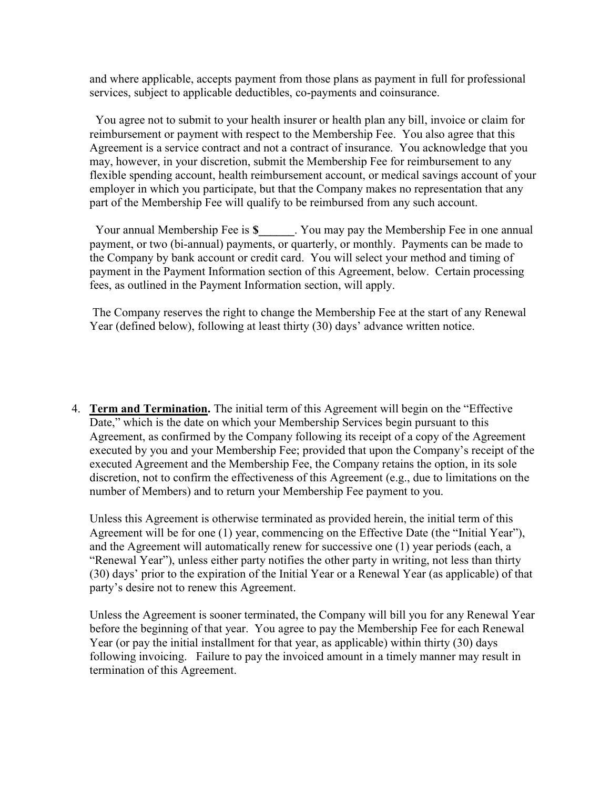and where applicable, accepts payment from those plans as payment in full for professional services, subject to applicable deductibles, co-payments and coinsurance.

 You agree not to submit to your health insurer or health plan any bill, invoice or claim for reimbursement or payment with respect to the Membership Fee. You also agree that this Agreement is a service contract and not a contract of insurance. You acknowledge that you may, however, in your discretion, submit the Membership Fee for reimbursement to any flexible spending account, health reimbursement account, or medical savings account of your employer in which you participate, but that the Company makes no representation that any part of the Membership Fee will qualify to be reimbursed from any such account.

Your annual Membership Fee is \$ Tou may pay the Membership Fee in one annual payment, or two (bi-annual) payments, or quarterly, or monthly. Payments can be made to the Company by bank account or credit card. You will select your method and timing of payment in the Payment Information section of this Agreement, below. Certain processing fees, as outlined in the Payment Information section, will apply.

The Company reserves the right to change the Membership Fee at the start of any Renewal Year (defined below), following at least thirty (30) days' advance written notice.

4. Term and Termination. The initial term of this Agreement will begin on the "Effective Date," which is the date on which your Membership Services begin pursuant to this Agreement, as confirmed by the Company following its receipt of a copy of the Agreement executed by you and your Membership Fee; provided that upon the Company's receipt of the executed Agreement and the Membership Fee, the Company retains the option, in its sole discretion, not to confirm the effectiveness of this Agreement (e.g., due to limitations on the number of Members) and to return your Membership Fee payment to you.

Unless this Agreement is otherwise terminated as provided herein, the initial term of this Agreement will be for one (1) year, commencing on the Effective Date (the "Initial Year"), and the Agreement will automatically renew for successive one (1) year periods (each, a "Renewal Year"), unless either party notifies the other party in writing, not less than thirty (30) days' prior to the expiration of the Initial Year or a Renewal Year (as applicable) of that party's desire not to renew this Agreement.

 Unless the Agreement is sooner terminated, the Company will bill you for any Renewal Year before the beginning of that year. You agree to pay the Membership Fee for each Renewal Year (or pay the initial installment for that year, as applicable) within thirty (30) days following invoicing. Failure to pay the invoiced amount in a timely manner may result in termination of this Agreement.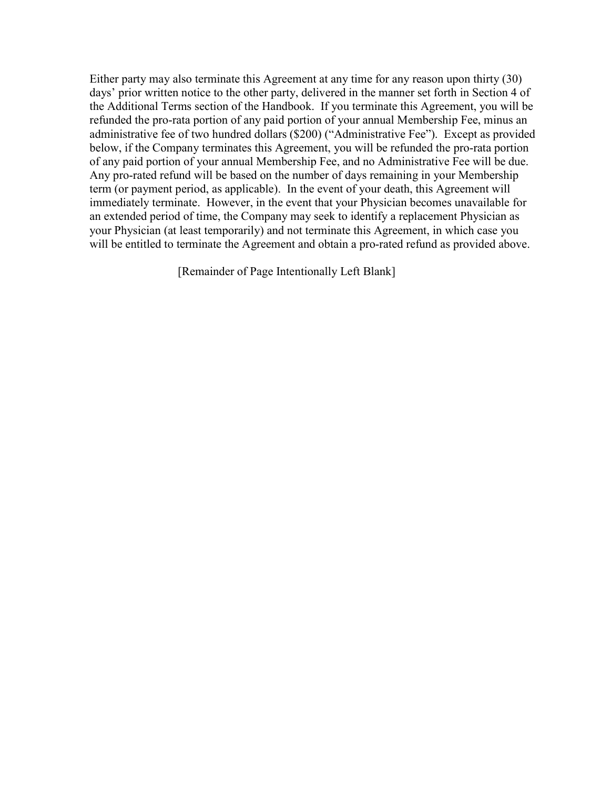Either party may also terminate this Agreement at any time for any reason upon thirty (30) days' prior written notice to the other party, delivered in the manner set forth in Section 4 of the Additional Terms section of the Handbook. If you terminate this Agreement, you will be refunded the pro-rata portion of any paid portion of your annual Membership Fee, minus an administrative fee of two hundred dollars (\$200) ("Administrative Fee"). Except as provided below, if the Company terminates this Agreement, you will be refunded the pro-rata portion of any paid portion of your annual Membership Fee, and no Administrative Fee will be due. Any pro-rated refund will be based on the number of days remaining in your Membership term (or payment period, as applicable). In the event of your death, this Agreement will immediately terminate. However, in the event that your Physician becomes unavailable for an extended period of time, the Company may seek to identify a replacement Physician as your Physician (at least temporarily) and not terminate this Agreement, in which case you will be entitled to terminate the Agreement and obtain a pro-rated refund as provided above.

[Remainder of Page Intentionally Left Blank]